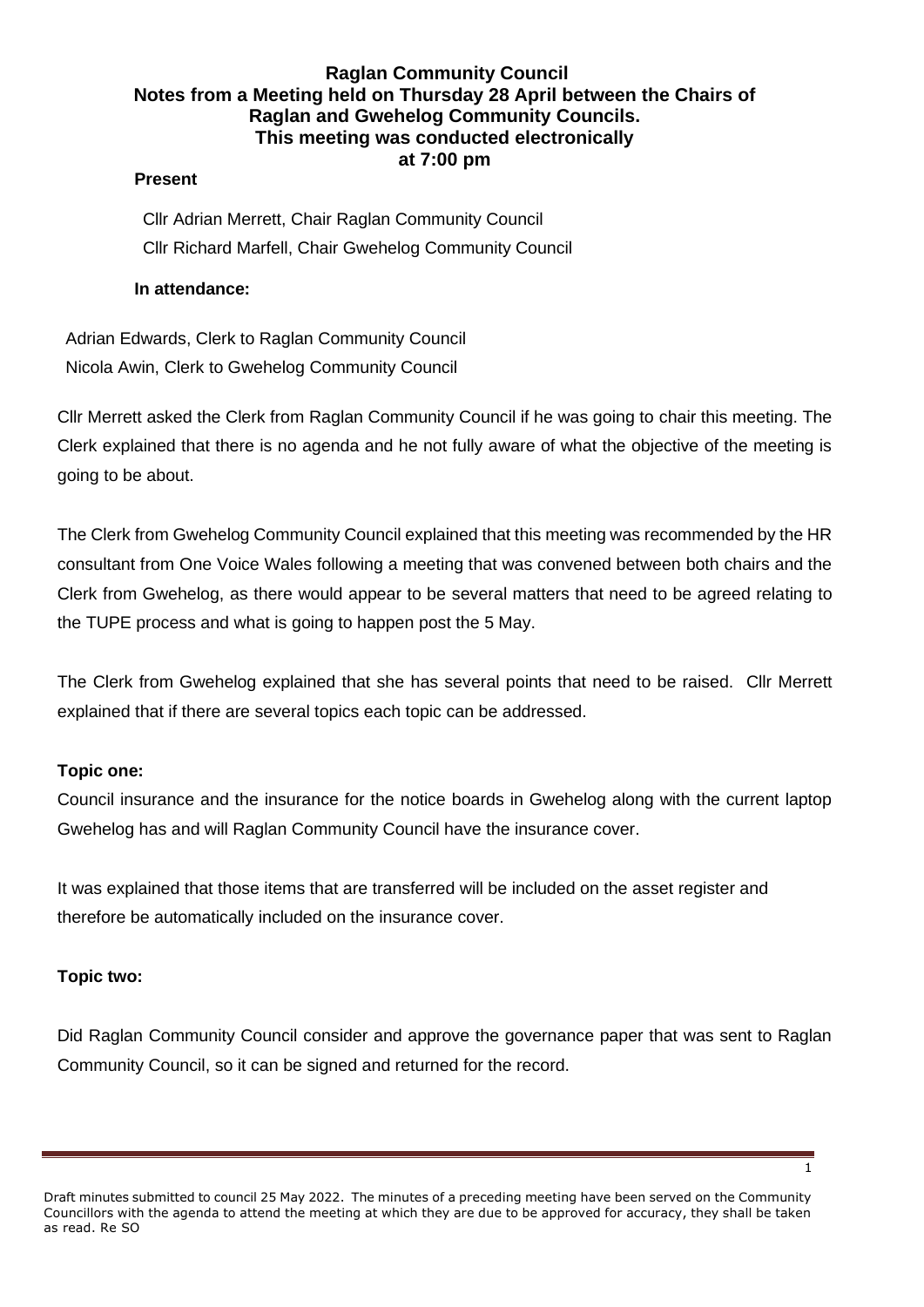# **Raglan Community Council Notes from a Meeting held on Thursday 28 April between the Chairs of Raglan and Gwehelog Community Councils. This meeting was conducted electronically at 7:00 pm**

#### **Present**

Cllr Adrian Merrett, Chair Raglan Community Council Cllr Richard Marfell, Chair Gwehelog Community Council

### **In attendance:**

Adrian Edwards, Clerk to Raglan Community Council Nicola Awin, Clerk to Gwehelog Community Council

Cllr Merrett asked the Clerk from Raglan Community Council if he was going to chair this meeting. The Clerk explained that there is no agenda and he not fully aware of what the objective of the meeting is going to be about.

The Clerk from Gwehelog Community Council explained that this meeting was recommended by the HR consultant from One Voice Wales following a meeting that was convened between both chairs and the Clerk from Gwehelog, as there would appear to be several matters that need to be agreed relating to the TUPE process and what is going to happen post the 5 May.

The Clerk from Gwehelog explained that she has several points that need to be raised. Cllr Merrett explained that if there are several topics each topic can be addressed.

## **Topic one:**

Council insurance and the insurance for the notice boards in Gwehelog along with the current laptop Gwehelog has and will Raglan Community Council have the insurance cover.

It was explained that those items that are transferred will be included on the asset register and therefore be automatically included on the insurance cover.

### **Topic two:**

Did Raglan Community Council consider and approve the governance paper that was sent to Raglan Community Council, so it can be signed and returned for the record.

1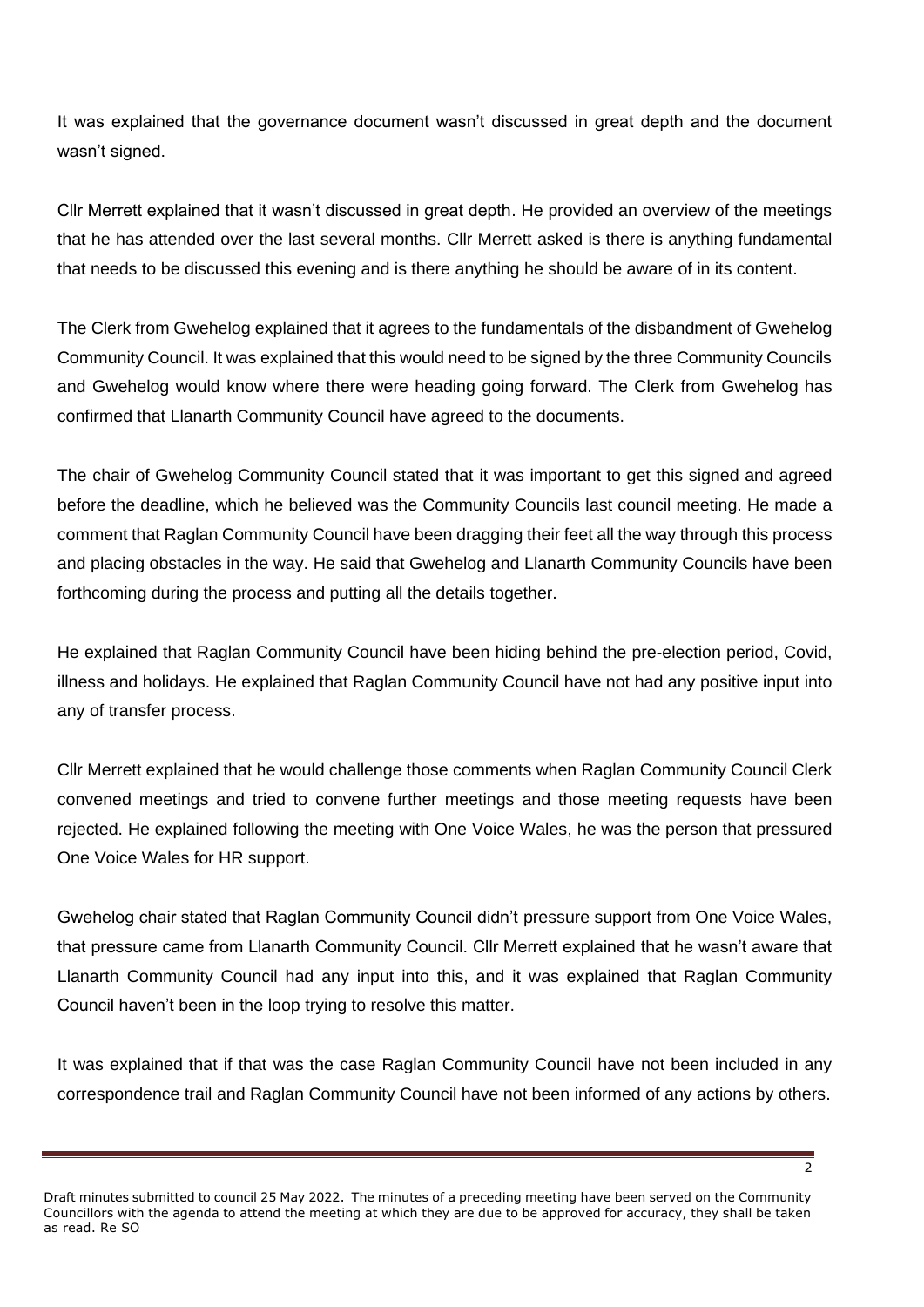It was explained that the governance document wasn't discussed in great depth and the document wasn't signed.

Cllr Merrett explained that it wasn't discussed in great depth. He provided an overview of the meetings that he has attended over the last several months. Cllr Merrett asked is there is anything fundamental that needs to be discussed this evening and is there anything he should be aware of in its content.

The Clerk from Gwehelog explained that it agrees to the fundamentals of the disbandment of Gwehelog Community Council. It was explained that this would need to be signed by the three Community Councils and Gwehelog would know where there were heading going forward. The Clerk from Gwehelog has confirmed that Llanarth Community Council have agreed to the documents.

The chair of Gwehelog Community Council stated that it was important to get this signed and agreed before the deadline, which he believed was the Community Councils last council meeting. He made a comment that Raglan Community Council have been dragging their feet all the way through this process and placing obstacles in the way. He said that Gwehelog and Llanarth Community Councils have been forthcoming during the process and putting all the details together.

He explained that Raglan Community Council have been hiding behind the pre-election period, Covid, illness and holidays. He explained that Raglan Community Council have not had any positive input into any of transfer process.

Cllr Merrett explained that he would challenge those comments when Raglan Community Council Clerk convened meetings and tried to convene further meetings and those meeting requests have been rejected. He explained following the meeting with One Voice Wales, he was the person that pressured One Voice Wales for HR support.

Gwehelog chair stated that Raglan Community Council didn't pressure support from One Voice Wales, that pressure came from Llanarth Community Council. Cllr Merrett explained that he wasn't aware that Llanarth Community Council had any input into this, and it was explained that Raglan Community Council haven't been in the loop trying to resolve this matter.

It was explained that if that was the case Raglan Community Council have not been included in any correspondence trail and Raglan Community Council have not been informed of any actions by others.

 $\overline{2}$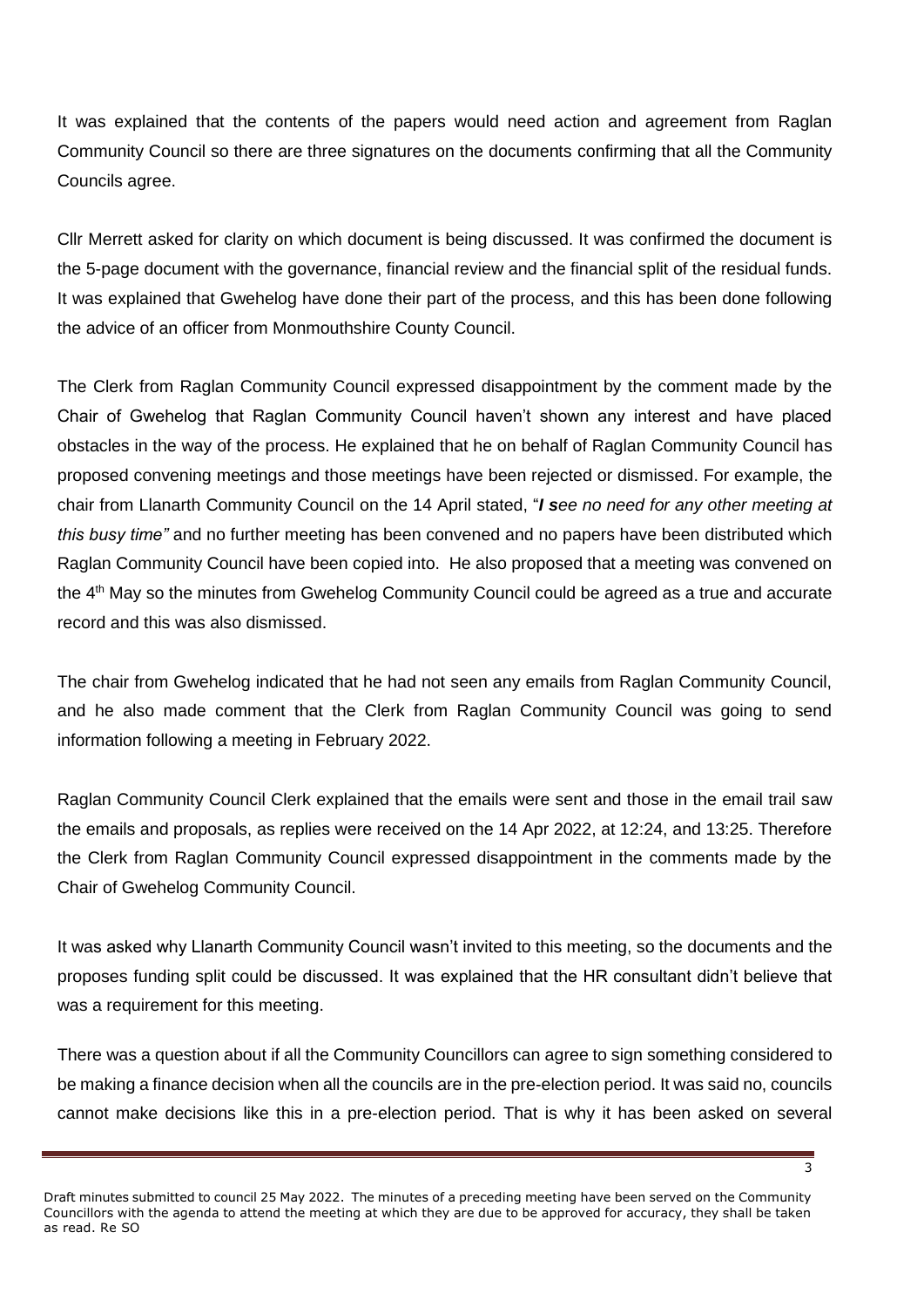It was explained that the contents of the papers would need action and agreement from Raglan Community Council so there are three signatures on the documents confirming that all the Community Councils agree.

Cllr Merrett asked for clarity on which document is being discussed. It was confirmed the document is the 5-page document with the governance, financial review and the financial split of the residual funds. It was explained that Gwehelog have done their part of the process, and this has been done following the advice of an officer from Monmouthshire County Council.

The Clerk from Raglan Community Council expressed disappointment by the comment made by the Chair of Gwehelog that Raglan Community Council haven't shown any interest and have placed obstacles in the way of the process. He explained that he on behalf of Raglan Community Council has proposed convening meetings and those meetings have been rejected or dismissed. For example, the chair from Llanarth Community Council on the 14 April stated, "*I see no need for any other meeting at this busy time"* and no further meeting has been convened and no papers have been distributed which Raglan Community Council have been copied into. He also proposed that a meeting was convened on the 4<sup>th</sup> May so the minutes from Gwehelog Community Council could be agreed as a true and accurate record and this was also dismissed.

The chair from Gwehelog indicated that he had not seen any emails from Raglan Community Council, and he also made comment that the Clerk from Raglan Community Council was going to send information following a meeting in February 2022.

Raglan Community Council Clerk explained that the emails were sent and those in the email trail saw the emails and proposals, as replies were received on the 14 Apr 2022, at 12:24, and 13:25. Therefore the Clerk from Raglan Community Council expressed disappointment in the comments made by the Chair of Gwehelog Community Council.

It was asked why Llanarth Community Council wasn't invited to this meeting, so the documents and the proposes funding split could be discussed. It was explained that the HR consultant didn't believe that was a requirement for this meeting.

There was a question about if all the Community Councillors can agree to sign something considered to be making a finance decision when all the councils are in the pre-election period. It was said no, councils cannot make decisions like this in a pre-election period. That is why it has been asked on several

Draft minutes submitted to council 25 May 2022. The minutes of a preceding meeting have been served on the Community Councillors with the agenda to attend the meeting at which they are due to be approved for accuracy, they shall be taken as read. Re SO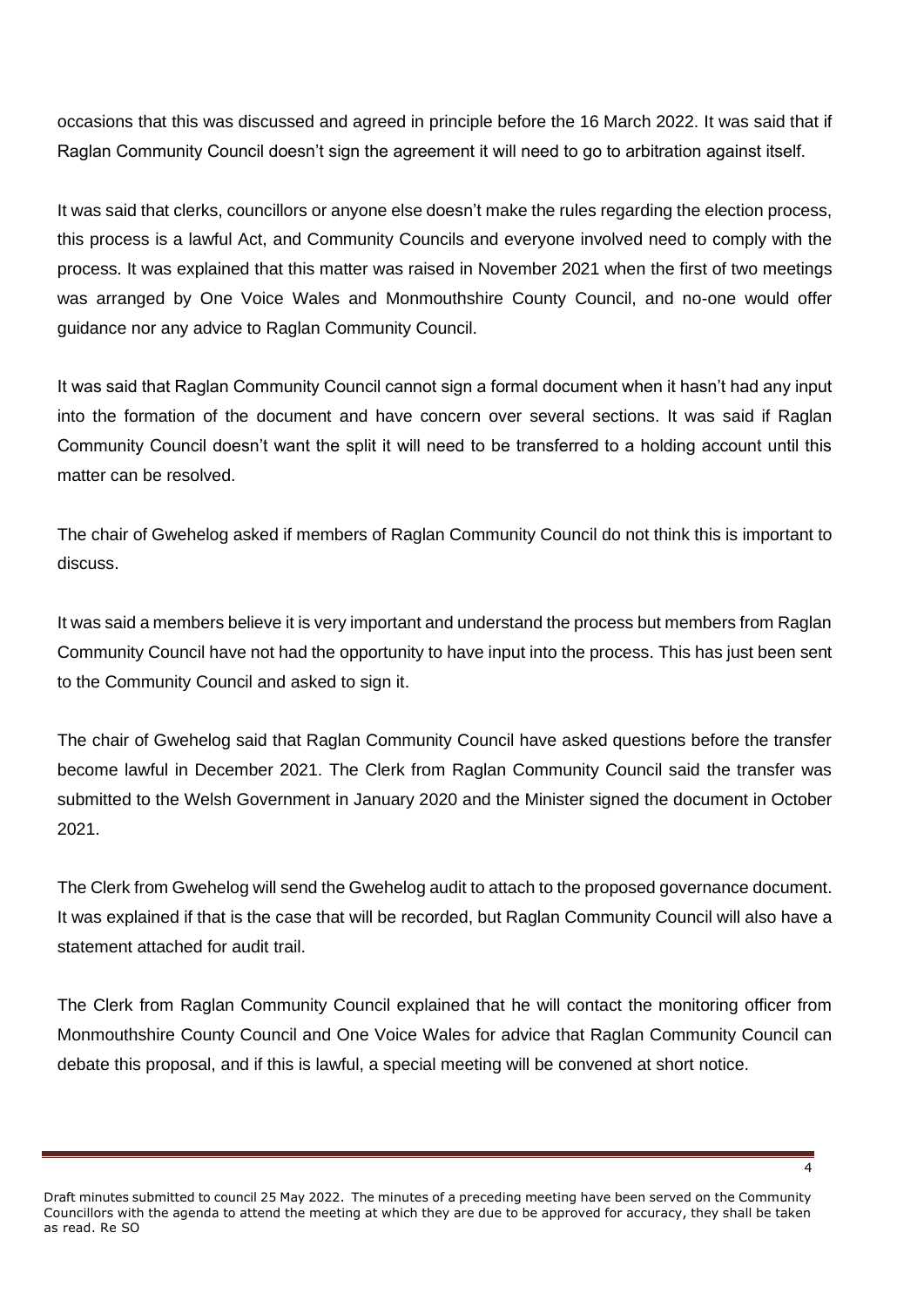occasions that this was discussed and agreed in principle before the 16 March 2022. It was said that if Raglan Community Council doesn't sign the agreement it will need to go to arbitration against itself.

It was said that clerks, councillors or anyone else doesn't make the rules regarding the election process, this process is a lawful Act, and Community Councils and everyone involved need to comply with the process. It was explained that this matter was raised in November 2021 when the first of two meetings was arranged by One Voice Wales and Monmouthshire County Council, and no-one would offer guidance nor any advice to Raglan Community Council.

It was said that Raglan Community Council cannot sign a formal document when it hasn't had any input into the formation of the document and have concern over several sections. It was said if Raglan Community Council doesn't want the split it will need to be transferred to a holding account until this matter can be resolved.

The chair of Gwehelog asked if members of Raglan Community Council do not think this is important to discuss.

It was said a members believe it is very important and understand the process but members from Raglan Community Council have not had the opportunity to have input into the process. This has just been sent to the Community Council and asked to sign it.

The chair of Gwehelog said that Raglan Community Council have asked questions before the transfer become lawful in December 2021. The Clerk from Raglan Community Council said the transfer was submitted to the Welsh Government in January 2020 and the Minister signed the document in October 2021.

The Clerk from Gwehelog will send the Gwehelog audit to attach to the proposed governance document. It was explained if that is the case that will be recorded, but Raglan Community Council will also have a statement attached for audit trail.

The Clerk from Raglan Community Council explained that he will contact the monitoring officer from Monmouthshire County Council and One Voice Wales for advice that Raglan Community Council can debate this proposal, and if this is lawful, a special meeting will be convened at short notice.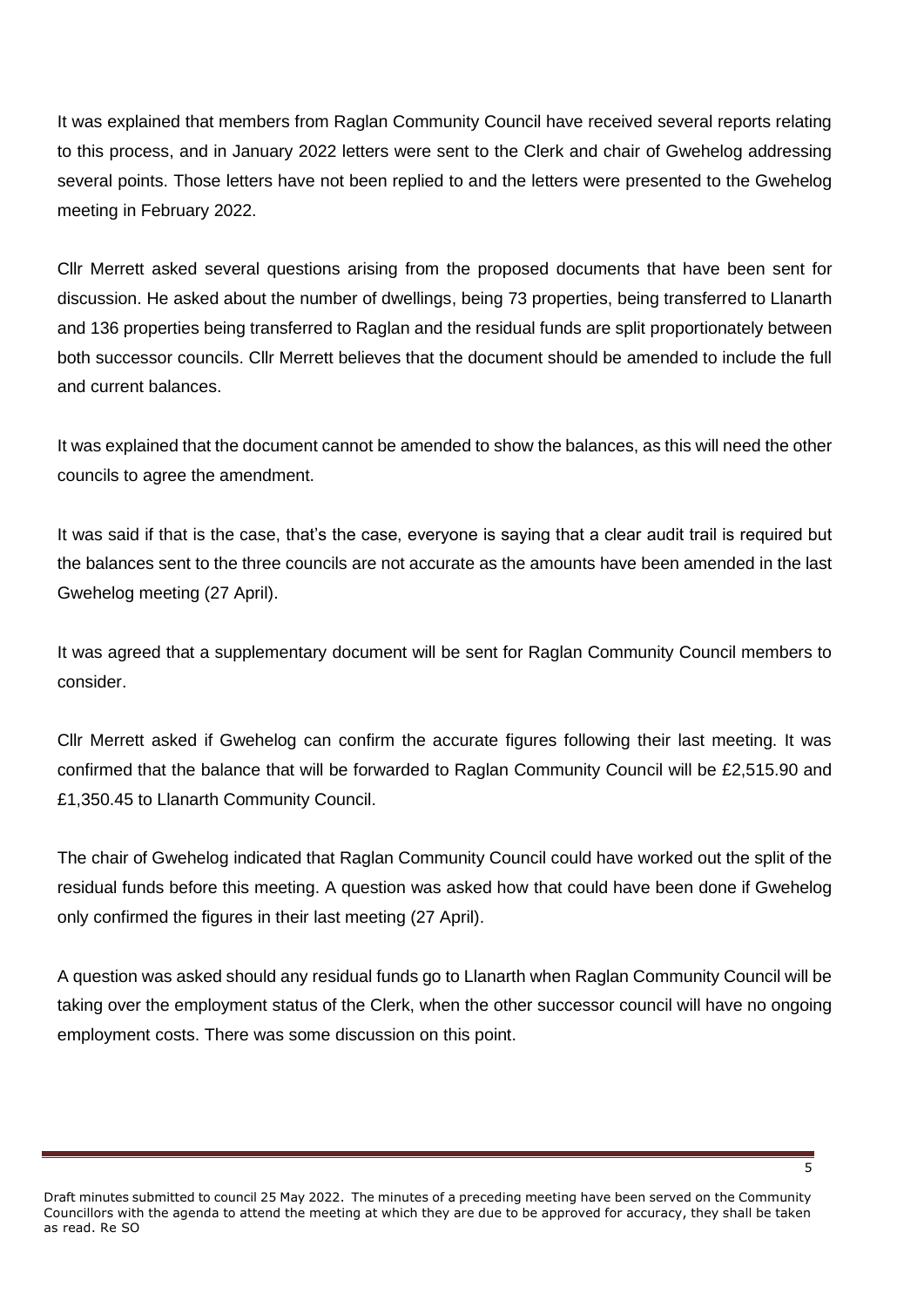It was explained that members from Raglan Community Council have received several reports relating to this process, and in January 2022 letters were sent to the Clerk and chair of Gwehelog addressing several points. Those letters have not been replied to and the letters were presented to the Gwehelog meeting in February 2022.

Cllr Merrett asked several questions arising from the proposed documents that have been sent for discussion. He asked about the number of dwellings, being 73 properties, being transferred to Llanarth and 136 properties being transferred to Raglan and the residual funds are split proportionately between both successor councils. Cllr Merrett believes that the document should be amended to include the full and current balances.

It was explained that the document cannot be amended to show the balances, as this will need the other councils to agree the amendment.

It was said if that is the case, that's the case, everyone is saying that a clear audit trail is required but the balances sent to the three councils are not accurate as the amounts have been amended in the last Gwehelog meeting (27 April).

It was agreed that a supplementary document will be sent for Raglan Community Council members to consider.

Cllr Merrett asked if Gwehelog can confirm the accurate figures following their last meeting. It was confirmed that the balance that will be forwarded to Raglan Community Council will be £2,515.90 and £1,350.45 to Llanarth Community Council.

The chair of Gwehelog indicated that Raglan Community Council could have worked out the split of the residual funds before this meeting. A question was asked how that could have been done if Gwehelog only confirmed the figures in their last meeting (27 April).

A question was asked should any residual funds go to Llanarth when Raglan Community Council will be taking over the employment status of the Clerk, when the other successor council will have no ongoing employment costs. There was some discussion on this point.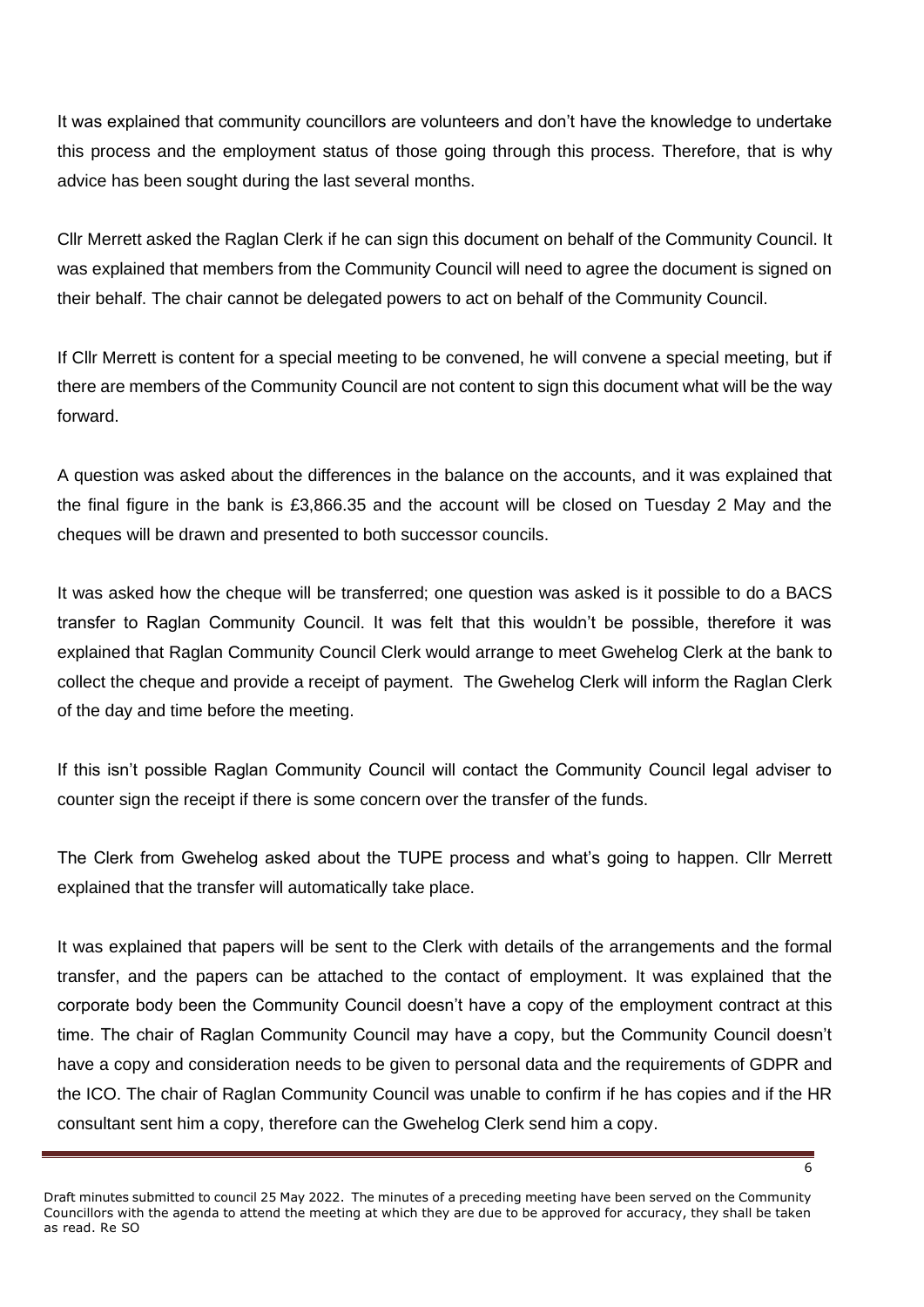It was explained that community councillors are volunteers and don't have the knowledge to undertake this process and the employment status of those going through this process. Therefore, that is why advice has been sought during the last several months.

Cllr Merrett asked the Raglan Clerk if he can sign this document on behalf of the Community Council. It was explained that members from the Community Council will need to agree the document is signed on their behalf. The chair cannot be delegated powers to act on behalf of the Community Council.

If Cllr Merrett is content for a special meeting to be convened, he will convene a special meeting, but if there are members of the Community Council are not content to sign this document what will be the way forward.

A question was asked about the differences in the balance on the accounts, and it was explained that the final figure in the bank is £3,866.35 and the account will be closed on Tuesday 2 May and the cheques will be drawn and presented to both successor councils.

It was asked how the cheque will be transferred; one question was asked is it possible to do a BACS transfer to Raglan Community Council. It was felt that this wouldn't be possible, therefore it was explained that Raglan Community Council Clerk would arrange to meet Gwehelog Clerk at the bank to collect the cheque and provide a receipt of payment. The Gwehelog Clerk will inform the Raglan Clerk of the day and time before the meeting.

If this isn't possible Raglan Community Council will contact the Community Council legal adviser to counter sign the receipt if there is some concern over the transfer of the funds.

The Clerk from Gwehelog asked about the TUPE process and what's going to happen. Cllr Merrett explained that the transfer will automatically take place.

It was explained that papers will be sent to the Clerk with details of the arrangements and the formal transfer, and the papers can be attached to the contact of employment. It was explained that the corporate body been the Community Council doesn't have a copy of the employment contract at this time. The chair of Raglan Community Council may have a copy, but the Community Council doesn't have a copy and consideration needs to be given to personal data and the requirements of GDPR and the ICO. The chair of Raglan Community Council was unable to confirm if he has copies and if the HR consultant sent him a copy, therefore can the Gwehelog Clerk send him a copy.

Draft minutes submitted to council 25 May 2022. The minutes of a preceding meeting have been served on the Community Councillors with the agenda to attend the meeting at which they are due to be approved for accuracy, they shall be taken as read. Re SO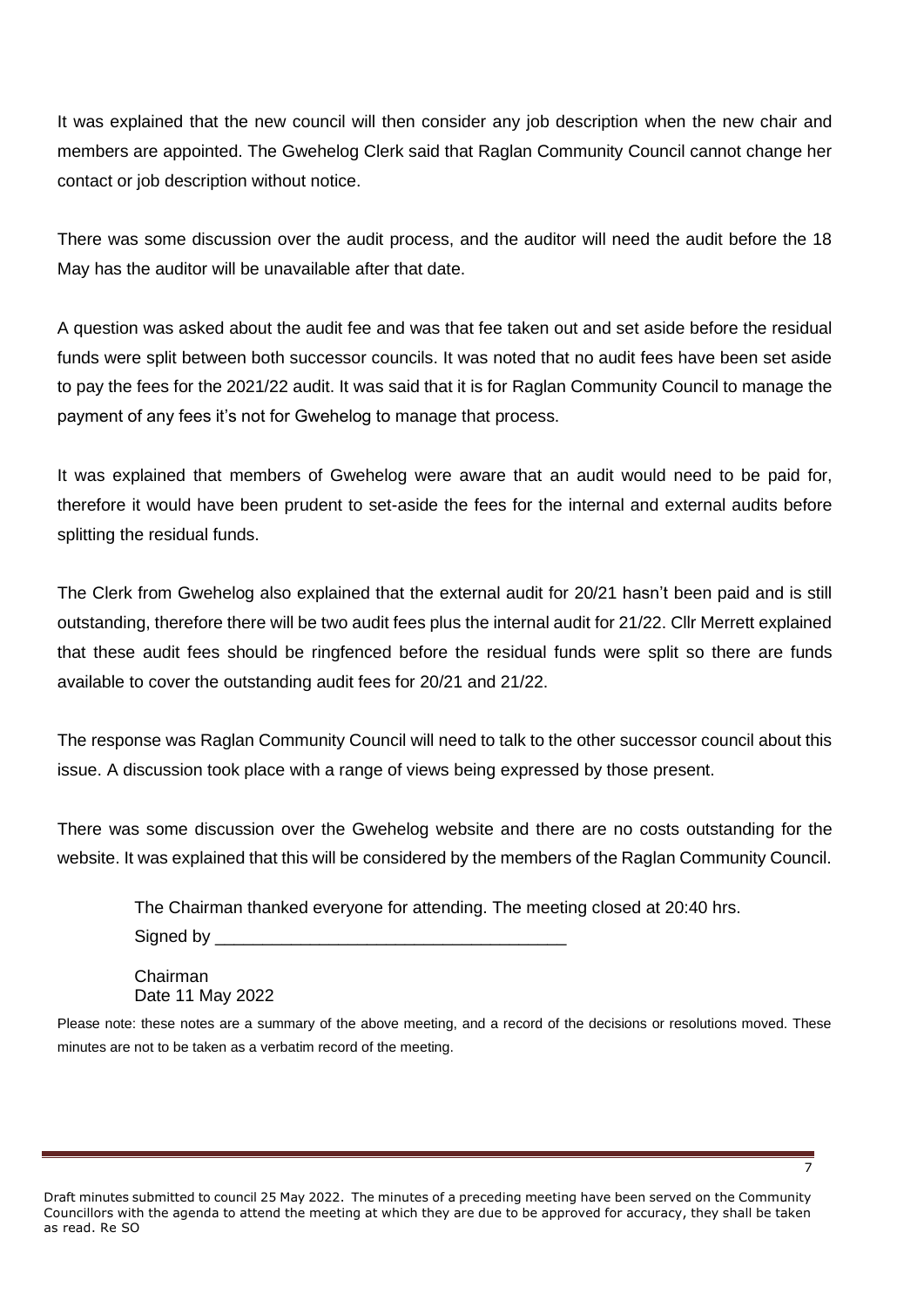It was explained that the new council will then consider any job description when the new chair and members are appointed. The Gwehelog Clerk said that Raglan Community Council cannot change her contact or job description without notice.

There was some discussion over the audit process, and the auditor will need the audit before the 18 May has the auditor will be unavailable after that date.

A question was asked about the audit fee and was that fee taken out and set aside before the residual funds were split between both successor councils. It was noted that no audit fees have been set aside to pay the fees for the 2021/22 audit. It was said that it is for Raglan Community Council to manage the payment of any fees it's not for Gwehelog to manage that process.

It was explained that members of Gwehelog were aware that an audit would need to be paid for, therefore it would have been prudent to set-aside the fees for the internal and external audits before splitting the residual funds.

The Clerk from Gwehelog also explained that the external audit for 20/21 hasn't been paid and is still outstanding, therefore there will be two audit fees plus the internal audit for 21/22. Cllr Merrett explained that these audit fees should be ringfenced before the residual funds were split so there are funds available to cover the outstanding audit fees for 20/21 and 21/22.

The response was Raglan Community Council will need to talk to the other successor council about this issue. A discussion took place with a range of views being expressed by those present.

There was some discussion over the Gwehelog website and there are no costs outstanding for the website. It was explained that this will be considered by the members of the Raglan Community Council.

The Chairman thanked everyone for attending. The meeting closed at 20:40 hrs.

Signed by \_\_\_\_

Chairman Date 11 May 2022

Please note: these notes are a summary of the above meeting, and a record of the decisions or resolutions moved. These minutes are not to be taken as a verbatim record of the meeting.

 $\overline{z}$